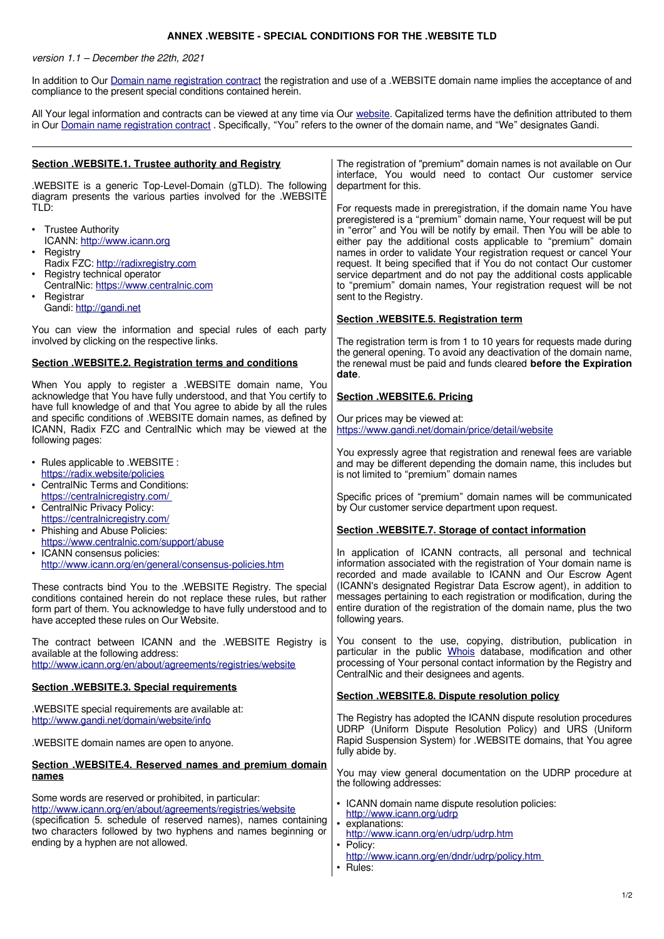## **ANNEX .WEBSITE - SPECIAL CONDITIONS FOR THE .WEBSITE TLD**

version 1.1 – December the 22th, 2021

In addition to Our [Domain name registration contract](https://www.gandi.net/en/contracts/terms-of-service) the registration and use of a .WEBSITE domain name implies the acceptance of and compliance to the present special conditions contained herein.

All Your legal information and contracts can be viewed at any time via Our [website.](http://www.gandi.net/) Capitalized terms have the definition attributed to them in Our [Domain name registration contract](https://www.gandi.net/en/contracts/terms-of-service). Specifically, "You" refers to the owner of the domain name, and "We" designates Gandi.

| Section .WEBSITE.1. Trustee authority and Registry<br>.WEBSITE is a generic Top-Level-Domain (gTLD). The following                                                                                                                                                                                   | The registration of "premium" domain names is not available on Our<br>interface, You would need to contact Our customer service<br>department for this.                                                                                                                                                                                                                                                                                                                                                                                                                                           |
|------------------------------------------------------------------------------------------------------------------------------------------------------------------------------------------------------------------------------------------------------------------------------------------------------|---------------------------------------------------------------------------------------------------------------------------------------------------------------------------------------------------------------------------------------------------------------------------------------------------------------------------------------------------------------------------------------------------------------------------------------------------------------------------------------------------------------------------------------------------------------------------------------------------|
| diagram presents the various parties involved for the .WEBSITE<br>TLD:<br>• Trustee Authority<br>ICANN: http://www.icann.org<br>Registry<br>Radix FZC: http://radixregistry.com<br>• Registry technical operator<br>CentralNic: https://www.centralnic.com<br>• Registrar<br>Gandi: http://gandi.net | For requests made in preregistration, if the domain name You have<br>preregistered is a "premium" domain name, Your request will be put<br>in "error" and You will be notify by email. Then You will be able to<br>either pay the additional costs applicable to "premium" domain<br>names in order to validate Your registration request or cancel Your<br>request. It being specified that if You do not contact Our customer<br>service department and do not pay the additional costs applicable<br>to "premium" domain names, Your registration request will be not<br>sent to the Registry. |
| You can view the information and special rules of each party<br>involved by clicking on the respective links.                                                                                                                                                                                        | Section .WEBSITE.5. Registration term                                                                                                                                                                                                                                                                                                                                                                                                                                                                                                                                                             |
| Section .WEBSITE.2. Registration terms and conditions                                                                                                                                                                                                                                                | The registration term is from 1 to 10 years for requests made during<br>the general opening. To avoid any deactivation of the domain name,<br>the renewal must be paid and funds cleared before the Expiration<br>date.                                                                                                                                                                                                                                                                                                                                                                           |
| When You apply to register a .WEBSITE domain name, You<br>acknowledge that You have fully understood, and that You certify to                                                                                                                                                                        | Section .WEBSITE.6. Pricing                                                                                                                                                                                                                                                                                                                                                                                                                                                                                                                                                                       |
| have full knowledge of and that You agree to abide by all the rules<br>and specific conditions of .WEBSITE domain names, as defined by<br>ICANN, Radix FZC and CentralNic which may be viewed at the<br>following pages:                                                                             | Our prices may be viewed at:<br>https://www.gandi.net/domain/price/detail/website                                                                                                                                                                                                                                                                                                                                                                                                                                                                                                                 |
| • Rules applicable to .WEBSITE :<br>https://radix.website/policies                                                                                                                                                                                                                                   | You expressly agree that registration and renewal fees are variable<br>and may be different depending the domain name, this includes but<br>is not limited to "premium" domain names                                                                                                                                                                                                                                                                                                                                                                                                              |
| • CentralNic Terms and Conditions:<br>https://centralnicregistry.com/<br>• CentralNic Privacy Policy:<br>https://centralnicregistry.com/                                                                                                                                                             | Specific prices of "premium" domain names will be communicated<br>by Our customer service department upon request.                                                                                                                                                                                                                                                                                                                                                                                                                                                                                |
| • Phishing and Abuse Policies:<br>https://www.centralnic.com/support/abuse                                                                                                                                                                                                                           | Section .WEBSITE.7. Storage of contact information                                                                                                                                                                                                                                                                                                                                                                                                                                                                                                                                                |
| • ICANN consensus policies:<br>http://www.icann.org/en/general/consensus-policies.htm<br>These contracts bind You to the .WEBSITE Registry. The special<br>conditions contained herein do not replace these rules, but rather<br>form part of them. You acknowledge to have fully understood and to  | In application of ICANN contracts, all personal and technical<br>information associated with the registration of Your domain name is<br>recorded and made available to ICANN and Our Escrow Agent<br>(ICANN's designated Registrar Data Escrow agent), in addition to<br>messages pertaining to each registration or modification, during the<br>entire duration of the registration of the domain name, plus the two<br>following years.                                                                                                                                                         |
| have accepted these rules on Our Website.                                                                                                                                                                                                                                                            | You consent to the use, copying, distribution, publication in                                                                                                                                                                                                                                                                                                                                                                                                                                                                                                                                     |
| The contract between ICANN and the .WEBSITE Registry is<br>available at the following address:<br>http://www.icann.org/en/about/agreements/registries/website                                                                                                                                        | particular in the public Whois database, modification and other<br>processing of Your personal contact information by the Registry and<br>CentralNic and their designees and agents.                                                                                                                                                                                                                                                                                                                                                                                                              |
| <b>Section .WEBSITE.3. Special requirements</b>                                                                                                                                                                                                                                                      | Section .WEBSITE.8. Dispute resolution policy                                                                                                                                                                                                                                                                                                                                                                                                                                                                                                                                                     |
| .WEBSITE special requirements are available at:<br>http://www.gandi.net/domain/website/info                                                                                                                                                                                                          | The Registry has adopted the ICANN dispute resolution procedures<br>UDRP (Uniform Dispute Resolution Policy) and URS (Uniform                                                                                                                                                                                                                                                                                                                                                                                                                                                                     |
| .WEBSITE domain names are open to anyone.                                                                                                                                                                                                                                                            | Rapid Suspension System) for .WEBSITE domains, that You agree<br>fully abide by.                                                                                                                                                                                                                                                                                                                                                                                                                                                                                                                  |
| Section .WEBSITE.4. Reserved names and premium domain<br>names                                                                                                                                                                                                                                       | You may view general documentation on the UDRP procedure at<br>the following addresses:                                                                                                                                                                                                                                                                                                                                                                                                                                                                                                           |
| Some words are reserved or prohibited, in particular:<br>http://www.icann.org/en/about/agreements/registries/website<br>(specification 5. schedule of reserved names), names containing<br>two characters followed by two hyphens and names beginning or<br>ending by a hyphen are not allowed.      | • ICANN domain name dispute resolution policies:<br>http://www.icann.org/udrp<br>• explanations:<br>http://www.icann.org/en/udrp/udrp.htm<br>• Policy:<br>http://www.icann.org/en/dndr/udrp/policy.htm<br>Rules:                                                                                                                                                                                                                                                                                                                                                                                  |